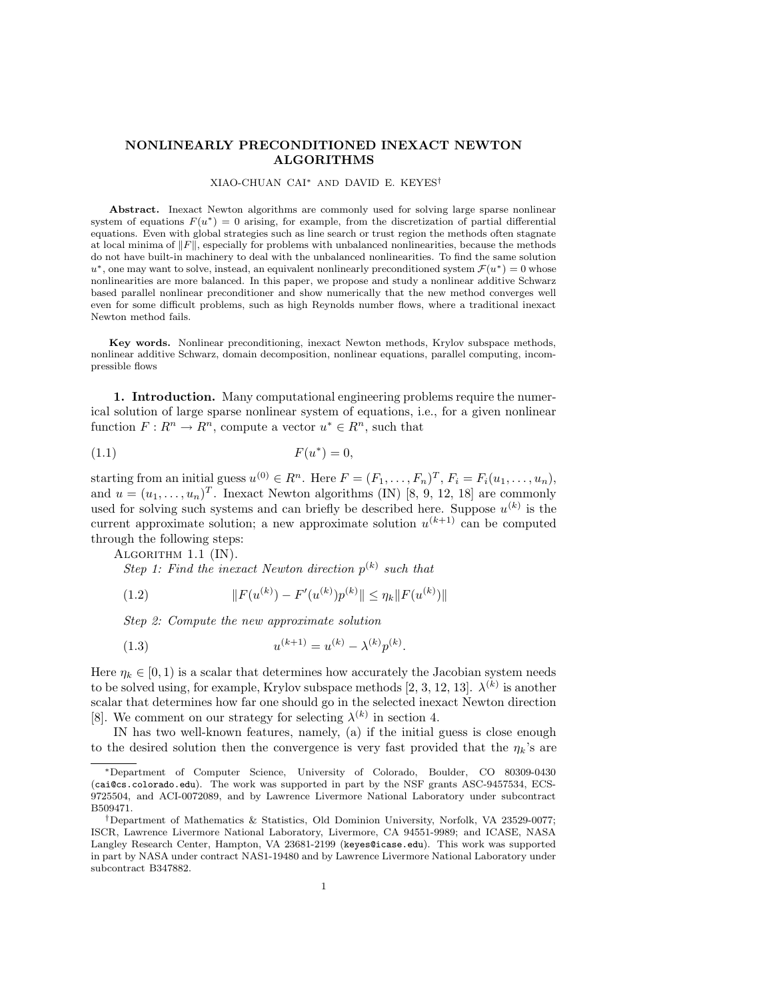# NONLINEARLY PRECONDITIONED INEXACT NEWTON ALGORITHMS

### XIAO-CHUAN CAI<sup>∗</sup> AND DAVID E. KEYES†

Abstract. Inexact Newton algorithms are commonly used for solving large sparse nonlinear system of equations  $F(u^*) = 0$  arising, for example, from the discretization of partial differential equations. Even with global strategies such as line search or trust region the methods often stagnate at local minima of  $\Vert F \Vert$ , especially for problems with unbalanced nonlinearities, because the methods do not have built-in machinery to deal with the unbalanced nonlinearities. To find the same solution  $u^*$ , one may want to solve, instead, an equivalent nonlinearly preconditioned system  $\mathcal{F}(u^*)=0$  whose nonlinearities are more balanced. In this paper, we propose and study a nonlinear additive Schwarz based parallel nonlinear preconditioner and show numerically that the new method converges well even for some difficult problems, such as high Reynolds number flows, where a traditional inexact Newton method fails.

Key words. Nonlinear preconditioning, inexact Newton methods, Krylov subspace methods, nonlinear additive Schwarz, domain decomposition, nonlinear equations, parallel computing, incompressible flows

1. Introduction. Many computational engineering problems require the numerical solution of large sparse nonlinear system of equations, i.e., for a given nonlinear function  $F: R^n \to \overline{R^n}$ , compute a vector  $u^* \in \overline{R^n}$ , such that

$$
F(u^*) = 0,
$$

starting from an initial guess  $u^{(0)} \in R^n$ . Here  $F = (F_1, \ldots, F_n)^T$ ,  $F_i = F_i(u_1, \ldots, u_n)$ , and  $u = (u_1, \ldots, u_n)^T$ . Inexact Newton algorithms (IN) [8, 9, 12, 18] are commonly used for solving such systems and can briefly be described here. Suppose  $u^{(k)}$  is the current approximate solution; a new approximate solution  $u^{(k+1)}$  can be computed through the following steps:

ALGORITHM 1.1 (IN).

Step 1: Find the inexact Newton direction  $p^{(k)}$  such that

(1.2) 
$$
||F(u^{(k)}) - F'(u^{(k)})p^{(k)}|| \leq \eta_k ||F(u^{(k)})||
$$

Step 2: Compute the new approximate solution

(1.3) 
$$
u^{(k+1)} = u^{(k)} - \lambda^{(k)} p^{(k)}.
$$

Here  $\eta_k \in [0, 1)$  is a scalar that determines how accurately the Jacobian system needs to be solved using, for example, Krylov subspace methods [2, 3, 12, 13].  $\lambda^{(k)}$  is another scalar that determines how far one should go in the selected inexact Newton direction [8]. We comment on our strategy for selecting  $\lambda^{(k)}$  in section 4.

IN has two well-known features, namely, (a) if the initial guess is close enough to the desired solution then the convergence is very fast provided that the  $\eta_k$ 's are

<sup>∗</sup>Department of Computer Science, University of Colorado, Boulder, CO 80309-0430 (cai@cs.colorado.edu). The work was supported in part by the NSF grants ASC-9457534, ECS-9725504, and ACI-0072089, and by Lawrence Livermore National Laboratory under subcontract B509471.

<sup>†</sup>Department of Mathematics & Statistics, Old Dominion University, Norfolk, VA 23529-0077; ISCR, Lawrence Livermore National Laboratory, Livermore, CA 94551-9989; and ICASE, NASA Langley Research Center, Hampton, VA 23681-2199 (keyes@icase.edu). This work was supported in part by NASA under contract NAS1-19480 and by Lawrence Livermore National Laboratory under subcontract B347882.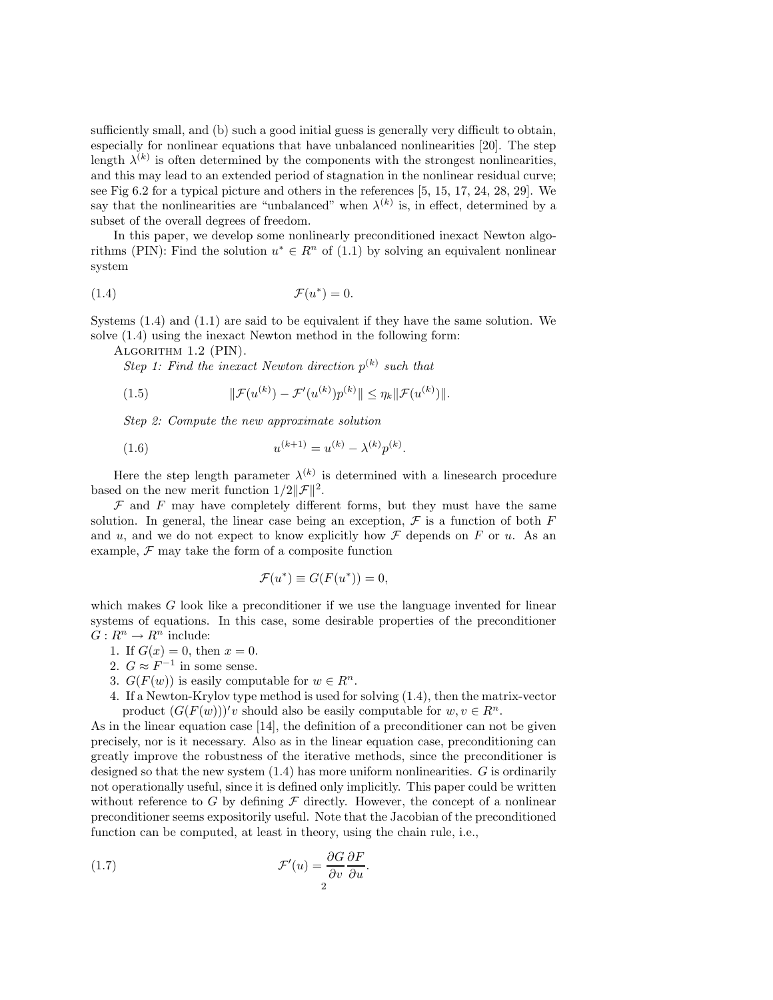sufficiently small, and (b) such a good initial guess is generally very difficult to obtain, especially for nonlinear equations that have unbalanced nonlinearities [20]. The step length  $\lambda^{(k)}$  is often determined by the components with the strongest nonlinearities, and this may lead to an extended period of stagnation in the nonlinear residual curve; see Fig 6.2 for a typical picture and others in the references [5, 15, 17, 24, 28, 29]. We say that the nonlinearities are "unbalanced" when  $\lambda^{(k)}$  is, in effect, determined by a subset of the overall degrees of freedom.

In this paper, we develop some nonlinearly preconditioned inexact Newton algorithms (PIN): Find the solution  $u^* \in R^n$  of (1.1) by solving an equivalent nonlinear system

$$
\mathcal{F}(u^*) = 0.
$$

Systems (1.4) and (1.1) are said to be equivalent if they have the same solution. We solve (1.4) using the inexact Newton method in the following form:

Algorithm 1.2 (PIN).

Step 1: Find the inexact Newton direction  $p^{(k)}$  such that

(1.5) 
$$
\|\mathcal{F}(u^{(k)}) - \mathcal{F}'(u^{(k)})p^{(k)}\| \leq \eta_k \|\mathcal{F}(u^{(k)})\|.
$$

Step 2: Compute the new approximate solution

(1.6) 
$$
u^{(k+1)} = u^{(k)} - \lambda^{(k)} p^{(k)}.
$$

Here the step length parameter  $\lambda^{(k)}$  is determined with a linesearch procedure based on the new merit function  $1/2||\mathcal{F}||^2$ .

 $\mathcal F$  and  $F$  may have completely different forms, but they must have the same solution. In general, the linear case being an exception,  $\mathcal F$  is a function of both F and u, and we do not expect to know explicitly how  $\mathcal F$  depends on F or u. As an example,  $\mathcal F$  may take the form of a composite function

$$
\mathcal{F}(u^*) \equiv G(F(u^*)) = 0,
$$

which makes G look like a preconditioner if we use the language invented for linear systems of equations. In this case, some desirable properties of the preconditioner  $G: R^n \to R^n$  include:

- 1. If  $G(x) = 0$ , then  $x = 0$ .
- 2.  $G \approx F^{-1}$  in some sense.
- 3.  $G(F(w))$  is easily computable for  $w \in R^n$ .
- 4. If a Newton-Krylov type method is used for solving (1.4), then the matrix-vector product  $(G(F(w)))'v$  should also be easily computable for  $w, v \in \mathbb{R}^n$ .

As in the linear equation case [14], the definition of a preconditioner can not be given precisely, nor is it necessary. Also as in the linear equation case, preconditioning can greatly improve the robustness of the iterative methods, since the preconditioner is designed so that the new system  $(1.4)$  has more uniform nonlinearities. G is ordinarily not operationally useful, since it is defined only implicitly. This paper could be written without reference to G by defining  $\mathcal F$  directly. However, the concept of a nonlinear preconditioner seems expositorily useful. Note that the Jacobian of the preconditioned function can be computed, at least in theory, using the chain rule, i.e.,

(1.7) 
$$
\mathcal{F}'(u) = \frac{\partial G}{\partial v} \frac{\partial F}{\partial u}.
$$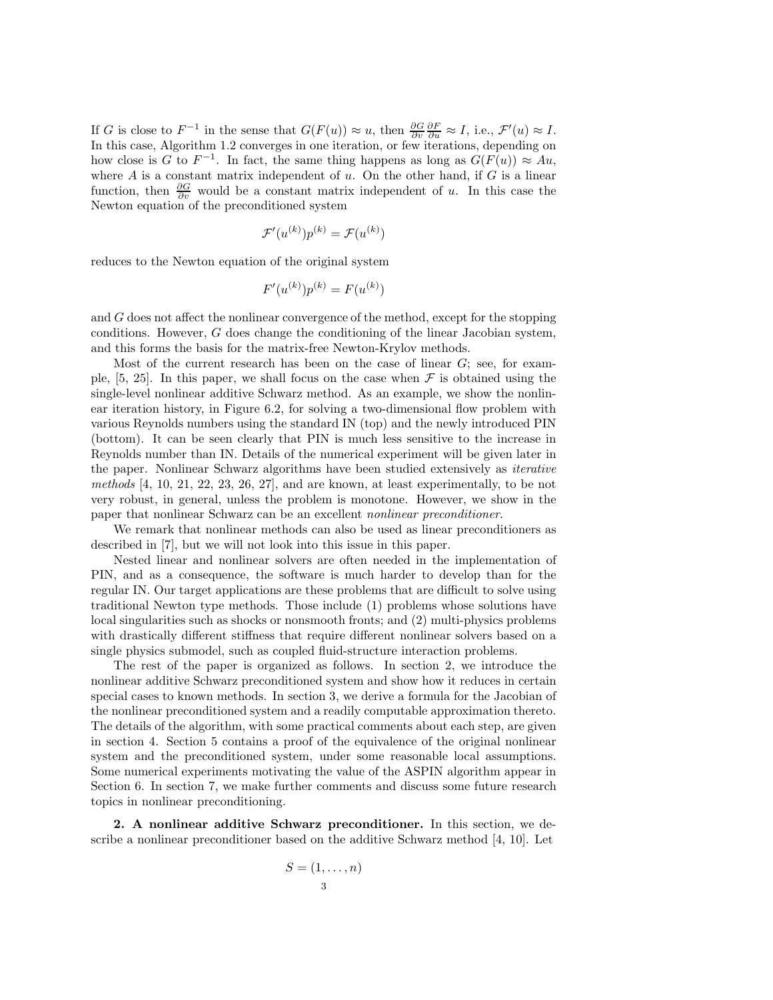If G is close to  $F^{-1}$  in the sense that  $G(F(u)) \approx u$ , then  $\frac{\partial G}{\partial v} \frac{\partial F}{\partial u} \approx I$ , i.e.,  $\mathcal{F}'(u) \approx I$ . In this case, Algorithm 1.2 converges in one iteration, or few iterations, depending on how close is G to  $F^{-1}$ . In fact, the same thing happens as long as  $G(F(u)) \approx Au$ , where  $A$  is a constant matrix independent of  $u$ . On the other hand, if  $G$  is a linear function, then  $\frac{\partial G}{\partial v}$  would be a constant matrix independent of u. In this case the Newton equation of the preconditioned system

$$
\mathcal{F}'(u^{(k)})p^{(k)} = \mathcal{F}(u^{(k)})
$$

reduces to the Newton equation of the original system

$$
F'(u^{(k)})p^{(k)} = F(u^{(k)})
$$

and G does not affect the nonlinear convergence of the method, except for the stopping conditions. However, G does change the conditioning of the linear Jacobian system, and this forms the basis for the matrix-free Newton-Krylov methods.

Most of the current research has been on the case of linear  $G$ ; see, for example,  $[5, 25]$ . In this paper, we shall focus on the case when  $\mathcal F$  is obtained using the single-level nonlinear additive Schwarz method. As an example, we show the nonlinear iteration history, in Figure 6.2, for solving a two-dimensional flow problem with various Reynolds numbers using the standard IN (top) and the newly introduced PIN (bottom). It can be seen clearly that PIN is much less sensitive to the increase in Reynolds number than IN. Details of the numerical experiment will be given later in the paper. Nonlinear Schwarz algorithms have been studied extensively as iterative methods [4, 10, 21, 22, 23, 26, 27], and are known, at least experimentally, to be not very robust, in general, unless the problem is monotone. However, we show in the paper that nonlinear Schwarz can be an excellent nonlinear preconditioner.

We remark that nonlinear methods can also be used as linear preconditioners as described in [7], but we will not look into this issue in this paper.

Nested linear and nonlinear solvers are often needed in the implementation of PIN, and as a consequence, the software is much harder to develop than for the regular IN. Our target applications are these problems that are difficult to solve using traditional Newton type methods. Those include (1) problems whose solutions have local singularities such as shocks or nonsmooth fronts; and (2) multi-physics problems with drastically different stiffness that require different nonlinear solvers based on a single physics submodel, such as coupled fluid-structure interaction problems.

The rest of the paper is organized as follows. In section 2, we introduce the nonlinear additive Schwarz preconditioned system and show how it reduces in certain special cases to known methods. In section 3, we derive a formula for the Jacobian of the nonlinear preconditioned system and a readily computable approximation thereto. The details of the algorithm, with some practical comments about each step, are given in section 4. Section 5 contains a proof of the equivalence of the original nonlinear system and the preconditioned system, under some reasonable local assumptions. Some numerical experiments motivating the value of the ASPIN algorithm appear in Section 6. In section 7, we make further comments and discuss some future research topics in nonlinear preconditioning.

2. A nonlinear additive Schwarz preconditioner. In this section, we describe a nonlinear preconditioner based on the additive Schwarz method [4, 10]. Let

$$
S = (1, \dots, n)
$$
  
<sub>3</sub>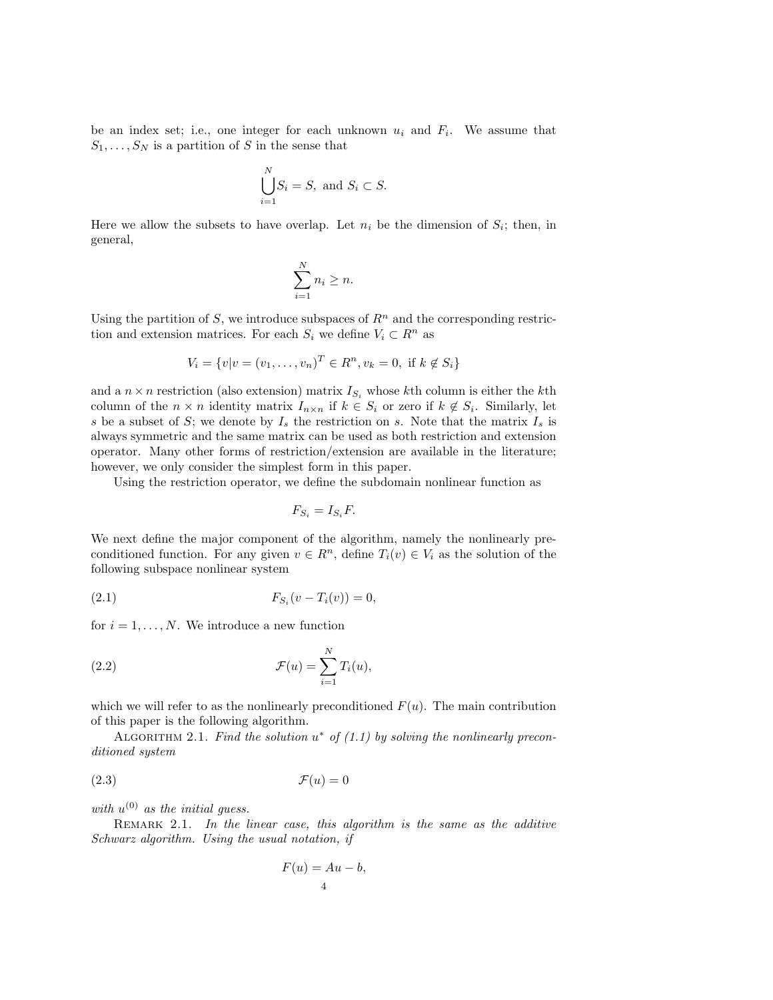be an index set; i.e., one integer for each unknown  $u_i$  and  $F_i$ . We assume that  $S_1, \ldots, S_N$  is a partition of S in the sense that

$$
\bigcup_{i=1}^{N} S_i = S, \text{ and } S_i \subset S.
$$

Here we allow the subsets to have overlap. Let  $n_i$  be the dimension of  $S_i$ ; then, in general,

$$
\sum_{i=1}^{N} n_i \geq n.
$$

Using the partition of S, we introduce subspaces of  $\mathbb{R}^n$  and the corresponding restriction and extension matrices. For each  $S_i$  we define  $V_i \subset R^n$  as

$$
V_i = \{v | v = (v_1, \dots, v_n)^T \in R^n, v_k = 0, \text{ if } k \notin S_i\}
$$

and a  $n \times n$  restriction (also extension) matrix  $I_{S_i}$  whose kth column is either the kth column of the  $n \times n$  identity matrix  $I_{n \times n}$  if  $k \in S_i$  or zero if  $k \notin S_i$ . Similarly, let s be a subset of S; we denote by  $I_s$  the restriction on s. Note that the matrix  $I_s$  is always symmetric and the same matrix can be used as both restriction and extension operator. Many other forms of restriction/extension are available in the literature; however, we only consider the simplest form in this paper.

Using the restriction operator, we define the subdomain nonlinear function as

$$
F_{S_i} = I_{S_i} F.
$$

We next define the major component of the algorithm, namely the nonlinearly preconditioned function. For any given  $v \in R^n$ , define  $T_i(v) \in V_i$  as the solution of the following subspace nonlinear system

(2.1) 
$$
F_{S_i}(v - T_i(v)) = 0,
$$

for  $i = 1, \ldots, N$ . We introduce a new function

(2.2) 
$$
\mathcal{F}(u) = \sum_{i=1}^{N} T_i(u),
$$

which we will refer to as the nonlinearly preconditioned  $F(u)$ . The main contribution of this paper is the following algorithm.

ALGORITHM 2.1. Find the solution  $u^*$  of (1.1) by solving the nonlinearly preconditioned system

$$
\mathcal{F}(u) = 0
$$

with  $u^{(0)}$  as the initial guess.

REMARK 2.1. In the linear case, this algorithm is the same as the additive Schwarz algorithm. Using the usual notation, if

$$
F(u) = Au - b,
$$
<sup>4</sup>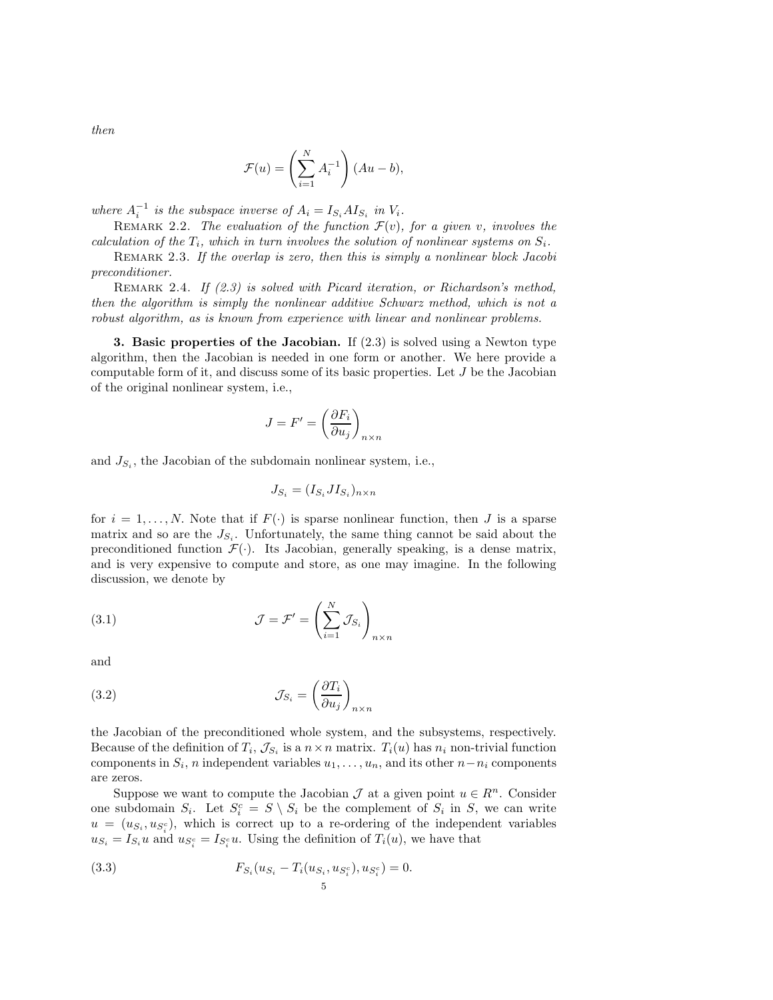then

$$
\mathcal{F}(u) = \left(\sum_{i=1}^{N} A_i^{-1}\right) (Au - b),
$$

where  $A_i^{-1}$  is the subspace inverse of  $A_i = I_{S_i} A I_{S_i}$  in  $V_i$ .

REMARK 2.2. The evaluation of the function  $\mathcal{F}(v)$ , for a given v, involves the calculation of the  $T_i$ , which in turn involves the solution of nonlinear systems on  $S_i$ .

REMARK 2.3. If the overlap is zero, then this is simply a nonlinear block Jacobi preconditioner.

REMARK 2.4. If  $(2.3)$  is solved with Picard iteration, or Richardson's method, then the algorithm is simply the nonlinear additive Schwarz method, which is not a robust algorithm, as is known from experience with linear and nonlinear problems.

**3. Basic properties of the Jacobian.** If  $(2.3)$  is solved using a Newton type algorithm, then the Jacobian is needed in one form or another. We here provide a computable form of it, and discuss some of its basic properties. Let J be the Jacobian of the original nonlinear system, i.e.,

$$
J = F' = \left(\frac{\partial F_i}{\partial u_j}\right)_{n \times n}
$$

and  $J_{S_i}$ , the Jacobian of the subdomain nonlinear system, i.e.,

$$
J_{S_i} = (I_{S_i} J I_{S_i})_{n \times n}
$$

for  $i = 1, \ldots, N$ . Note that if  $F(\cdot)$  is sparse nonlinear function, then J is a sparse matrix and so are the  $J_{S_i}$ . Unfortunately, the same thing cannot be said about the preconditioned function  $\mathcal{F}(\cdot)$ . Its Jacobian, generally speaking, is a dense matrix, and is very expensive to compute and store, as one may imagine. In the following discussion, we denote by

(3.1) 
$$
\mathcal{J} = \mathcal{F}' = \left(\sum_{i=1}^{N} \mathcal{J}_{S_i}\right)_{n \times n}
$$

and

(3.2) 
$$
\mathcal{J}_{S_i} = \left(\frac{\partial T_i}{\partial u_j}\right)_{n \times n}
$$

the Jacobian of the preconditioned whole system, and the subsystems, respectively. Because of the definition of  $T_i$ ,  $\mathcal{J}_{S_i}$  is a  $n \times n$  matrix.  $T_i(u)$  has  $n_i$  non-trivial function components in  $S_i$ , n independent variables  $u_1, \ldots, u_n$ , and its other  $n - n_i$  components are zeros.

Suppose we want to compute the Jacobian  $\mathcal J$  at a given point  $u \in \mathbb{R}^n$ . Consider one subdomain  $S_i$ . Let  $S_i^c = S \setminus S_i$  be the complement of  $S_i$  in S, we can write  $u = (u_{S_i}, u_{S_i^c})$ , which is correct up to a re-ordering of the independent variables  $u_{S_i} = I_{S_i} u$  and  $u_{S_i^c} = I_{S_i^c} u$ . Using the definition of  $T_i(u)$ , we have that

(3.3) 
$$
F_{S_i}(u_{S_i} - T_i(u_{S_i}, u_{S_i^c}), u_{S_i^c}) = 0.
$$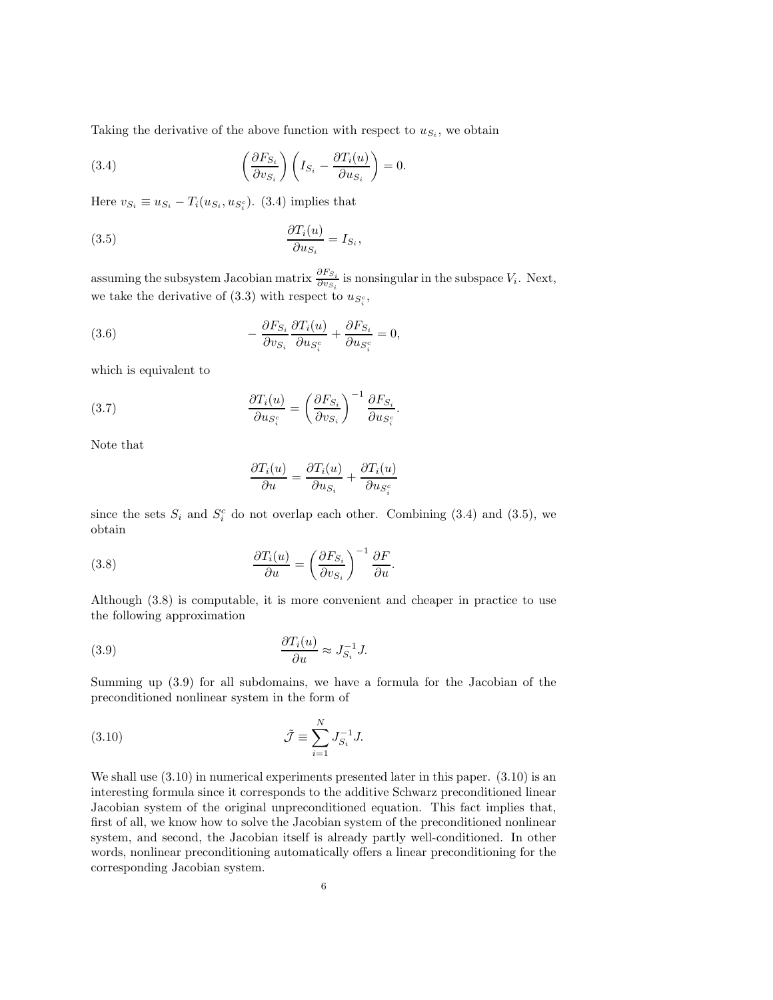Taking the derivative of the above function with respect to  $u_{S_i}$ , we obtain

(3.4) 
$$
\left(\frac{\partial F_{S_i}}{\partial v_{S_i}}\right)\left(I_{S_i}-\frac{\partial T_i(u)}{\partial u_{S_i}}\right)=0.
$$

Here  $v_{S_i} \equiv u_{S_i} - T_i(u_{S_i}, u_{S_i^c})$ . (3.4) implies that

(3.5) 
$$
\frac{\partial T_i(u)}{\partial u_{S_i}} = I_{S_i},
$$

assuming the subsystem Jacobian matrix  $\frac{\partial F_{S_i}}{\partial v_{S_i}}$  is nonsingular in the subspace  $V_i$ . Next, we take the derivative of  $(3.3)$  with respect to  $u_{S_i^c}$ ,

(3.6) 
$$
-\frac{\partial F_{S_i}}{\partial v_{S_i}} \frac{\partial T_i(u)}{\partial u_{S_i^c}} + \frac{\partial F_{S_i}}{\partial u_{S_i^c}} = 0,
$$

which is equivalent to

(3.7) 
$$
\frac{\partial T_i(u)}{\partial u_{S_i^c}} = \left(\frac{\partial F_{S_i}}{\partial v_{S_i}}\right)^{-1} \frac{\partial F_{S_i}}{\partial u_{S_i^c}}.
$$

Note that

$$
\frac{\partial T_i(u)}{\partial u} = \frac{\partial T_i(u)}{\partial u_{S_i}} + \frac{\partial T_i(u)}{\partial u_{S_i^c}}
$$

since the sets  $S_i$  and  $S_i^c$  do not overlap each other. Combining (3.4) and (3.5), we obtain

(3.8) 
$$
\frac{\partial T_i(u)}{\partial u} = \left(\frac{\partial F_{S_i}}{\partial v_{S_i}}\right)^{-1} \frac{\partial F}{\partial u}.
$$

Although (3.8) is computable, it is more convenient and cheaper in practice to use the following approximation

(3.9) 
$$
\frac{\partial T_i(u)}{\partial u} \approx J_{S_i}^{-1} J.
$$

Summing up (3.9) for all subdomains, we have a formula for the Jacobian of the preconditioned nonlinear system in the form of

(3.10) 
$$
\tilde{\mathcal{J}} \equiv \sum_{i=1}^{N} J_{S_i}^{-1} J.
$$

We shall use  $(3.10)$  in numerical experiments presented later in this paper.  $(3.10)$  is an interesting formula since it corresponds to the additive Schwarz preconditioned linear Jacobian system of the original unpreconditioned equation. This fact implies that, first of all, we know how to solve the Jacobian system of the preconditioned nonlinear system, and second, the Jacobian itself is already partly well-conditioned. In other words, nonlinear preconditioning automatically offers a linear preconditioning for the corresponding Jacobian system.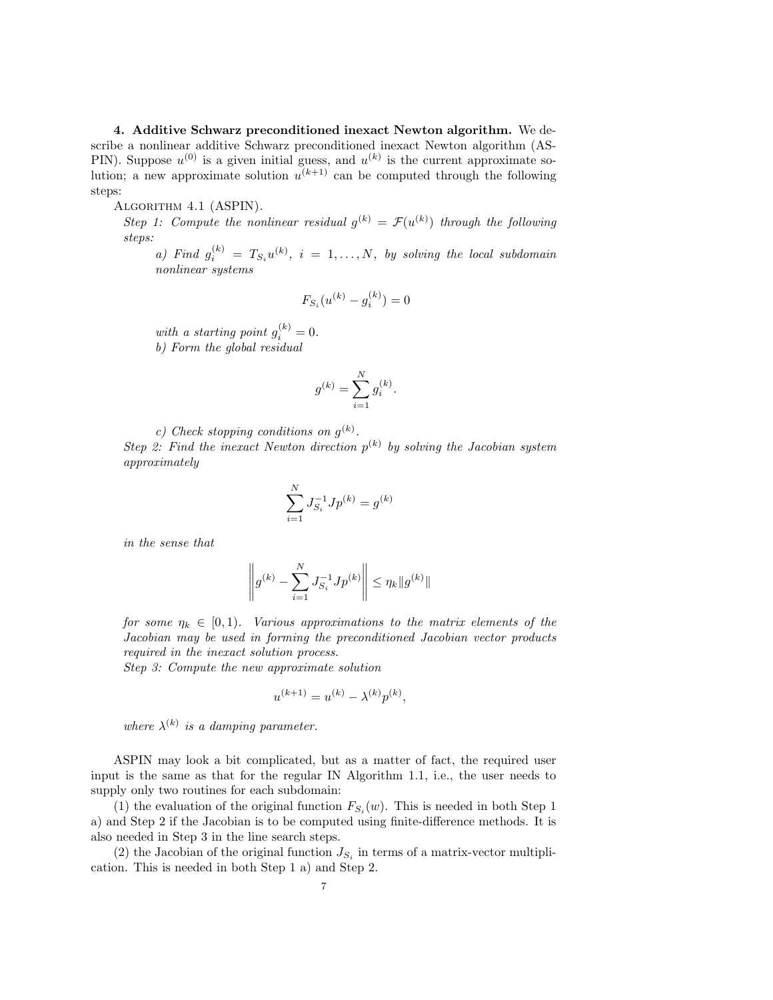4. Additive Schwarz preconditioned inexact Newton algorithm. We describe a nonlinear additive Schwarz preconditioned inexact Newton algorithm (AS-PIN). Suppose  $u^{(0)}$  is a given initial guess, and  $u^{(k)}$  is the current approximate solution; a new approximate solution  $u^{(k+1)}$  can be computed through the following steps:

## ALGORITHM 4.1 (ASPIN).

Step 1: Compute the nonlinear residual  $g^{(k)} = \mathcal{F}(u^{(k)})$  through the following steps:

a) Find  $g_i^{(k)} = T_{S_i}u^{(k)}, i = 1, ..., N$ , by solving the local subdomain nonlinear systems

$$
F_{S_i}(u^{(k)} - g_i^{(k)}) = 0
$$

with a starting point  $g_i^{(k)} = 0$ . b) Form the global residual

$$
g^{(k)} = \sum_{i=1}^{N} g_i^{(k)}.
$$

c) Check stopping conditions on  $g^{(k)}$ .

Step 2: Find the inexact Newton direction  $p^{(k)}$  by solving the Jacobian system approximately

$$
\sum_{i=1}^{N} J_{S_i}^{-1} J p^{(k)} = g^{(k)}
$$

in the sense that

$$
\left\| g^{(k)} - \sum_{i=1}^{N} J_{S_i}^{-1} J p^{(k)} \right\| \leq \eta_k \| g^{(k)} \|
$$

for some  $\eta_k \in [0,1)$ . Various approximations to the matrix elements of the Jacobian may be used in forming the preconditioned Jacobian vector products required in the inexact solution process.

Step 3: Compute the new approximate solution

$$
u^{(k+1)} = u^{(k)} - \lambda^{(k)} p^{(k)},
$$

where  $\lambda^{(k)}$  is a damping parameter.

ASPIN may look a bit complicated, but as a matter of fact, the required user input is the same as that for the regular IN Algorithm 1.1, i.e., the user needs to supply only two routines for each subdomain:

(1) the evaluation of the original function  $F_{S_i}(w)$ . This is needed in both Step 1 a) and Step 2 if the Jacobian is to be computed using finite-difference methods. It is also needed in Step 3 in the line search steps.

(2) the Jacobian of the original function  $J_{S_i}$  in terms of a matrix-vector multiplication. This is needed in both Step 1 a) and Step 2.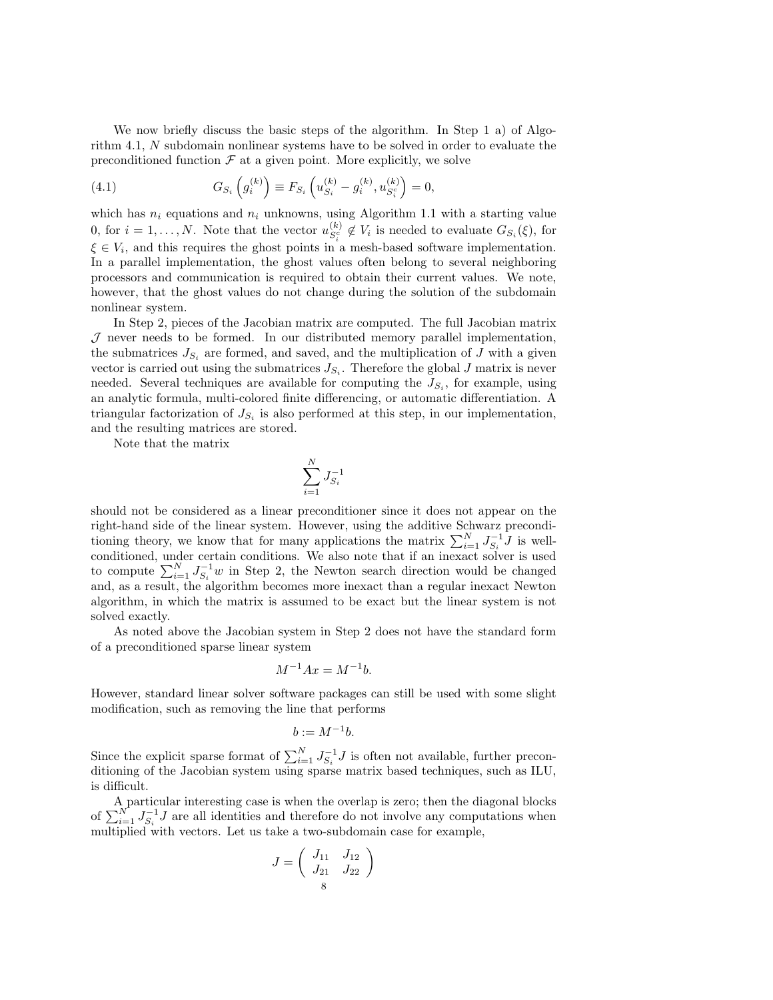We now briefly discuss the basic steps of the algorithm. In Step 1 a) of Algorithm 4.1, N subdomain nonlinear systems have to be solved in order to evaluate the preconditioned function  $\mathcal F$  at a given point. More explicitly, we solve

(4.1) 
$$
G_{S_i}\left(g_i^{(k)}\right) \equiv F_{S_i}\left(u_{S_i}^{(k)} - g_i^{(k)}, u_{S_i^c}^{(k)}\right) = 0,
$$

which has  $n_i$  equations and  $n_i$  unknowns, using Algorithm 1.1 with a starting value 0, for  $i = 1, ..., N$ . Note that the vector  $u_{S_i^c}^{(k)} \notin V_i$  is needed to evaluate  $G_{S_i}(\xi)$ , for  $\xi \in V_i$ , and this requires the ghost points in a mesh-based software implementation. In a parallel implementation, the ghost values often belong to several neighboring processors and communication is required to obtain their current values. We note, however, that the ghost values do not change during the solution of the subdomain nonlinear system.

In Step 2, pieces of the Jacobian matrix are computed. The full Jacobian matrix  $J$  never needs to be formed. In our distributed memory parallel implementation, the submatrices  $J_{S_i}$  are formed, and saved, and the multiplication of J with a given vector is carried out using the submatrices  $J_{S_i}$ . Therefore the global  $J$  matrix is never needed. Several techniques are available for computing the  $J_{S_i}$ , for example, using an analytic formula, multi-colored finite differencing, or automatic differentiation. A triangular factorization of  $J_{S_i}$  is also performed at this step, in our implementation, and the resulting matrices are stored.

Note that the matrix

$$
\sum_{i=1}^N J_{S_i}^{-1}
$$

should not be considered as a linear preconditioner since it does not appear on the right-hand side of the linear system. However, using the additive Schwarz preconditioning theory, we know that for many applications the matrix  $\sum_{i=1}^{N} J_{S_i}^{-1} J$  is wellconditioned, under certain conditions. We also note that if an inexact solver is used to compute  $\sum_{i=1}^{N} J_{S_i}^{-1} w$  in Step 2, the Newton search direction would be changed and, as a result, the algorithm becomes more inexact than a regular inexact Newton algorithm, in which the matrix is assumed to be exact but the linear system is not solved exactly.

As noted above the Jacobian system in Step 2 does not have the standard form of a preconditioned sparse linear system

$$
M^{-1}Ax = M^{-1}b.
$$

However, standard linear solver software packages can still be used with some slight modification, such as removing the line that performs

$$
b := M^{-1}b.
$$

Since the explicit sparse format of  $\sum_{i=1}^{N} J_{S_i}^{-1} J$  is often not available, further preconditioning of the Jacobian system using sparse matrix based techniques, such as ILU, is difficult.

A particular interesting case is when the overlap is zero; then the diagonal blocks of  $\sum_{i=1}^{N} J_{S_i}^{-1} J$  are all identities and therefore do not involve any computations when multiplied with vectors. Let us take a two-subdomain case for example,

$$
J = \left(\begin{array}{cc} J_{11} & J_{12} \\ J_{21} & J_{22} \end{array}\right)
$$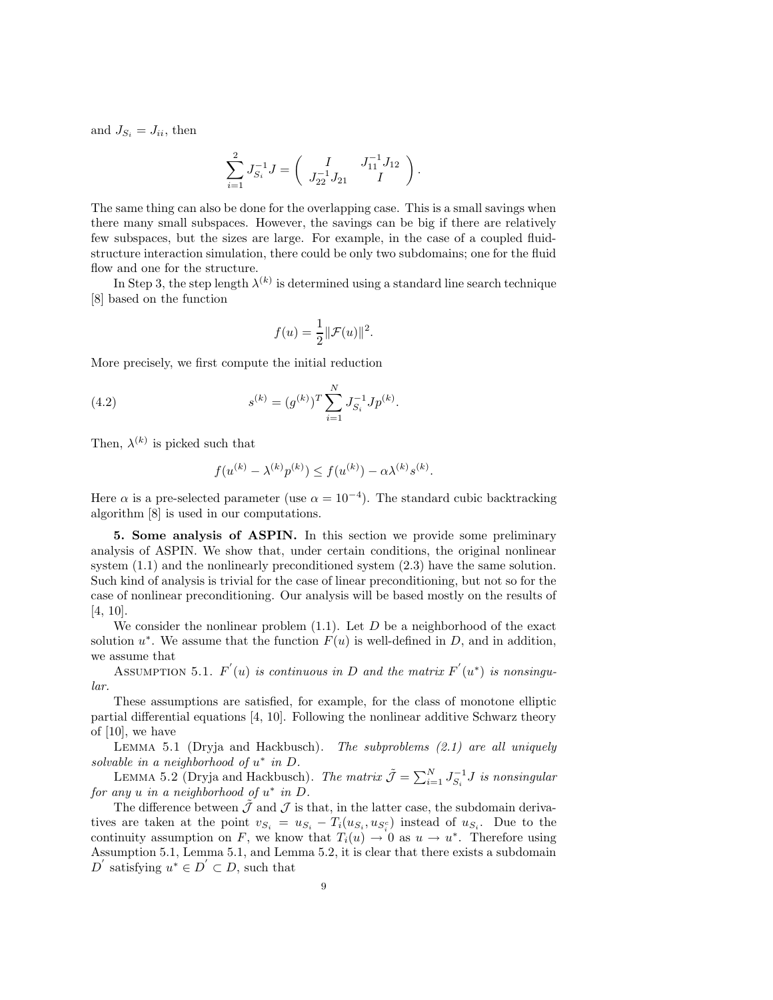and  $J_{S_i} = J_{ii}$ , then

$$
\sum_{i=1}^2 J_{S_i}^{-1} J = \left( \begin{array}{cc} I & J_{11}^{-1} J_{12} \\ J_{22}^{-1} J_{21} & I \end{array} \right)
$$

.

The same thing can also be done for the overlapping case. This is a small savings when there many small subspaces. However, the savings can be big if there are relatively few subspaces, but the sizes are large. For example, in the case of a coupled fluidstructure interaction simulation, there could be only two subdomains; one for the fluid flow and one for the structure.

In Step 3, the step length  $\lambda^{(k)}$  is determined using a standard line search technique [8] based on the function

$$
f(u) = \frac{1}{2} \|\mathcal{F}(u)\|^2.
$$

More precisely, we first compute the initial reduction

(4.2) 
$$
s^{(k)} = (g^{(k)})^T \sum_{i=1}^N J_{S_i}^{-1} J p^{(k)}.
$$

Then,  $\lambda^{(k)}$  is picked such that

$$
f(u^{(k)} - \lambda^{(k)} p^{(k)}) \le f(u^{(k)}) - \alpha \lambda^{(k)} s^{(k)}.
$$

Here  $\alpha$  is a pre-selected parameter (use  $\alpha = 10^{-4}$ ). The standard cubic backtracking algorithm [8] is used in our computations.

5. Some analysis of ASPIN. In this section we provide some preliminary analysis of ASPIN. We show that, under certain conditions, the original nonlinear system (1.1) and the nonlinearly preconditioned system (2.3) have the same solution. Such kind of analysis is trivial for the case of linear preconditioning, but not so for the case of nonlinear preconditioning. Our analysis will be based mostly on the results of [4, 10].

We consider the nonlinear problem  $(1.1)$ . Let D be a neighborhood of the exact solution  $u^*$ . We assume that the function  $F(u)$  is well-defined in D, and in addition, we assume that

ASSUMPTION 5.1.  $F'(u)$  is continuous in D and the matrix  $F'(u^*)$  is nonsingular.

These assumptions are satisfied, for example, for the class of monotone elliptic partial differential equations [4, 10]. Following the nonlinear additive Schwarz theory of [10], we have

LEMMA 5.1 (Dryja and Hackbusch). The subproblems  $(2.1)$  are all uniquely solvable in a neighborhood of  $u^*$  in  $D$ .

LEMMA 5.2 (Dryja and Hackbusch). The matrix  $\tilde{J} = \sum_{i=1}^{N} J_{S_i}^{-1} J$  is nonsingular for any  $u$  in a neighborhood of  $u^*$  in  $D$ .

The difference between  $\tilde{\mathcal{J}}$  and  $\mathcal{J}$  is that, in the latter case, the subdomain derivatives are taken at the point  $v_{S_i} = u_{S_i} - T_i(u_{S_i}, u_{S_i}^c)$  instead of  $u_{S_i}$ . Due to the continuity assumption on F, we know that  $T_i(u) \to 0$  as  $u \to u^*$ . Therefore using Assumption 5.1, Lemma 5.1, and Lemma 5.2, it is clear that there exists a subdomain D' satisfying  $u^* \in D' \subset D$ , such that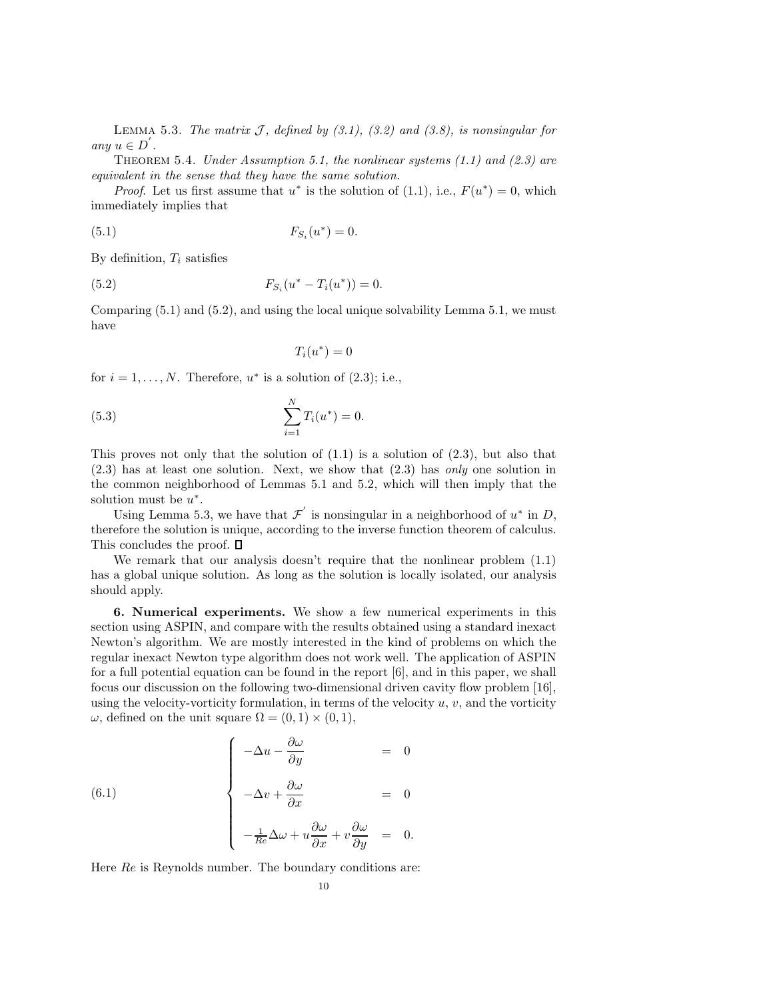LEMMA 5.3. The matrix  $\mathcal{J}$ , defined by (3.1), (3.2) and (3.8), is nonsingular for any  $u \in D'$ .

THEOREM 5.4. Under Assumption 5.1, the nonlinear systems  $(1.1)$  and  $(2.3)$  are equivalent in the sense that they have the same solution.

*Proof.* Let us first assume that  $u^*$  is the solution of (1.1), i.e.,  $F(u^*) = 0$ , which immediately implies that

(5.1) 
$$
F_{S_i}(u^*) = 0.
$$

By definition,  $T_i$  satisfies

(5.2) 
$$
F_{S_i}(u^* - T_i(u^*)) = 0.
$$

Comparing (5.1) and (5.2), and using the local unique solvability Lemma 5.1, we must have

$$
T_i(u^*)=0
$$

for  $i = 1, ..., N$ . Therefore,  $u^*$  is a solution of (2.3); i.e.,

(5.3) 
$$
\sum_{i=1}^{N} T_i(u^*) = 0.
$$

This proves not only that the solution of  $(1.1)$  is a solution of  $(2.3)$ , but also that (2.3) has at least one solution. Next, we show that (2.3) has only one solution in the common neighborhood of Lemmas 5.1 and 5.2, which will then imply that the solution must be  $u^*$ .

Using Lemma 5.3, we have that  $\mathcal{F}'$  is nonsingular in a neighborhood of  $u^*$  in D, therefore the solution is unique, according to the inverse function theorem of calculus. This concludes the proof.  $\square$ 

We remark that our analysis doesn't require that the nonlinear problem  $(1.1)$ has a global unique solution. As long as the solution is locally isolated, our analysis should apply.

6. Numerical experiments. We show a few numerical experiments in this section using ASPIN, and compare with the results obtained using a standard inexact Newton's algorithm. We are mostly interested in the kind of problems on which the regular inexact Newton type algorithm does not work well. The application of ASPIN for a full potential equation can be found in the report [6], and in this paper, we shall focus our discussion on the following two-dimensional driven cavity flow problem [16], using the velocity-vorticity formulation, in terms of the velocity  $u, v$ , and the vorticity  $ω$ , defined on the unit square  $Ω = (0, 1) \times (0, 1)$ ,

(6.1)  

$$
\begin{cases}\n-\Delta u - \frac{\partial \omega}{\partial y} &= 0 \\
-\Delta v + \frac{\partial \omega}{\partial x} &= 0 \\
-\frac{1}{Re}\Delta \omega + u \frac{\partial \omega}{\partial x} + v \frac{\partial \omega}{\partial y} &= 0.\n\end{cases}
$$

Here  $Re$  is Reynolds number. The boundary conditions are: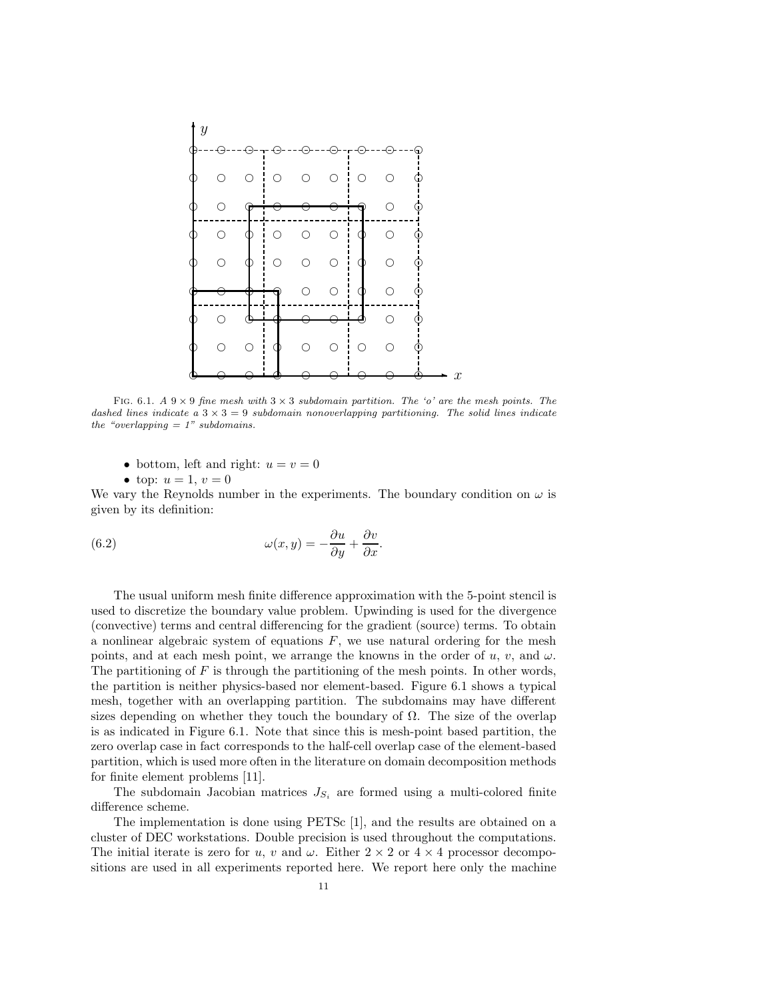

FIG. 6.1. A  $9 \times 9$  fine mesh with  $3 \times 3$  subdomain partition. The 'o' are the mesh points. The dashed lines indicate a  $3 \times 3 = 9$  subdomain nonoverlapping partitioning. The solid lines indicate the "overlapping  $= 1$ " subdomains.

- bottom, left and right:  $u = v = 0$
- top:  $u = 1, v = 0$

We vary the Reynolds number in the experiments. The boundary condition on  $\omega$  is given by its definition:

(6.2) 
$$
\omega(x,y) = -\frac{\partial u}{\partial y} + \frac{\partial v}{\partial x}.
$$

The usual uniform mesh finite difference approximation with the 5-point stencil is used to discretize the boundary value problem. Upwinding is used for the divergence (convective) terms and central differencing for the gradient (source) terms. To obtain a nonlinear algebraic system of equations  $F$ , we use natural ordering for the mesh points, and at each mesh point, we arrange the knowns in the order of  $u, v$ , and  $\omega$ . The partitioning of  $F$  is through the partitioning of the mesh points. In other words, the partition is neither physics-based nor element-based. Figure 6.1 shows a typical mesh, together with an overlapping partition. The subdomains may have different sizes depending on whether they touch the boundary of  $\Omega$ . The size of the overlap is as indicated in Figure 6.1. Note that since this is mesh-point based partition, the zero overlap case in fact corresponds to the half-cell overlap case of the element-based partition, which is used more often in the literature on domain decomposition methods for finite element problems [11].

The subdomain Jacobian matrices  $J_{S_i}$  are formed using a multi-colored finite difference scheme.

The implementation is done using PETSc [1], and the results are obtained on a cluster of DEC workstations. Double precision is used throughout the computations. The initial iterate is zero for u, v and  $\omega$ . Either  $2 \times 2$  or  $4 \times 4$  processor decompositions are used in all experiments reported here. We report here only the machine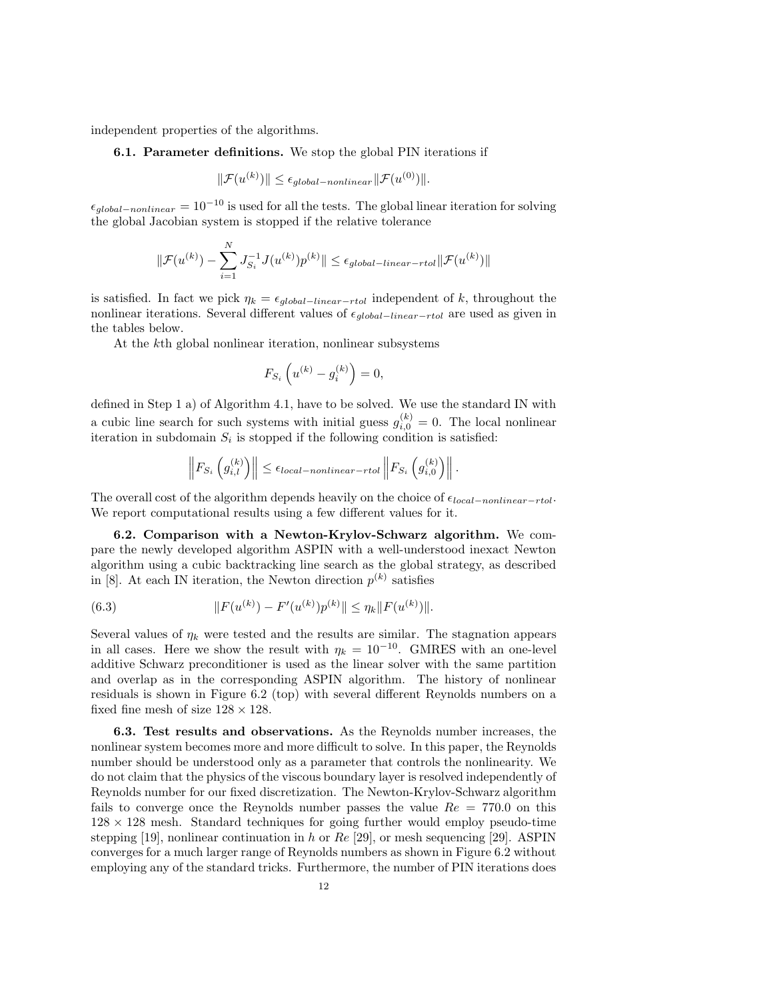independent properties of the algorithms.

## 6.1. Parameter definitions. We stop the global PIN iterations if

$$
\|\mathcal{F}(u^{(k)})\| \le \epsilon_{global-nonlinear} \|\mathcal{F}(u^{(0)})\|.
$$

 $\epsilon_{global-nonlinear} = 10^{-10}$  is used for all the tests. The global linear iteration for solving the global Jacobian system is stopped if the relative tolerance

$$
\|\mathcal{F}(u^{(k)}) - \sum_{i=1}^{N} J_{S_i}^{-1} J(u^{(k)}) p^{(k)}\| \le \epsilon_{global-linear-rtol} \|\mathcal{F}(u^{(k)})\|
$$

is satisfied. In fact we pick  $\eta_k = \epsilon_{global-linear-rtol}$  independent of k, throughout the nonlinear iterations. Several different values of  $\epsilon_{alobal-linear-rtol}$  are used as given in the tables below.

At the kth global nonlinear iteration, nonlinear subsystems

$$
F_{S_i}\left(u^{(k)}-g_i^{(k)}\right)=0,
$$

defined in Step 1 a) of Algorithm 4.1, have to be solved. We use the standard IN with a cubic line search for such systems with initial guess  $g_{i,0}^{(k)} = 0$ . The local nonlinear iteration in subdomain  $S_i$  is stopped if the following condition is satisfied:

$$
\left\|F_{S_i}\left(g_{i,l}^{(k)}\right)\right\| \leq \epsilon_{local-nonlinear-rtol}\left\|F_{S_i}\left(g_{i,0}^{(k)}\right)\right\|.
$$

The overall cost of the algorithm depends heavily on the choice of  $\epsilon_{local-nonlinear-rtol}$ . We report computational results using a few different values for it.

6.2. Comparison with a Newton-Krylov-Schwarz algorithm. We compare the newly developed algorithm ASPIN with a well-understood inexact Newton algorithm using a cubic backtracking line search as the global strategy, as described in [8]. At each IN iteration, the Newton direction  $p^{(k)}$  satisfies

(6.3) 
$$
||F(u^{(k)}) - F'(u^{(k)})p^{(k)}|| \leq \eta_k ||F(u^{(k)})||.
$$

Several values of  $\eta_k$  were tested and the results are similar. The stagnation appears in all cases. Here we show the result with  $\eta_k = 10^{-10}$ . GMRES with an one-level additive Schwarz preconditioner is used as the linear solver with the same partition and overlap as in the corresponding ASPIN algorithm. The history of nonlinear residuals is shown in Figure 6.2 (top) with several different Reynolds numbers on a fixed fine mesh of size  $128 \times 128$ .

6.3. Test results and observations. As the Reynolds number increases, the nonlinear system becomes more and more difficult to solve. In this paper, the Reynolds number should be understood only as a parameter that controls the nonlinearity. We do not claim that the physics of the viscous boundary layer is resolved independently of Reynolds number for our fixed discretization. The Newton-Krylov-Schwarz algorithm fails to converge once the Reynolds number passes the value  $Re = 770.0$  on this  $128 \times 128$  mesh. Standard techniques for going further would employ pseudo-time stepping [19], nonlinear continuation in h or  $Re$  [29], or mesh sequencing [29]. ASPIN converges for a much larger range of Reynolds numbers as shown in Figure 6.2 without employing any of the standard tricks. Furthermore, the number of PIN iterations does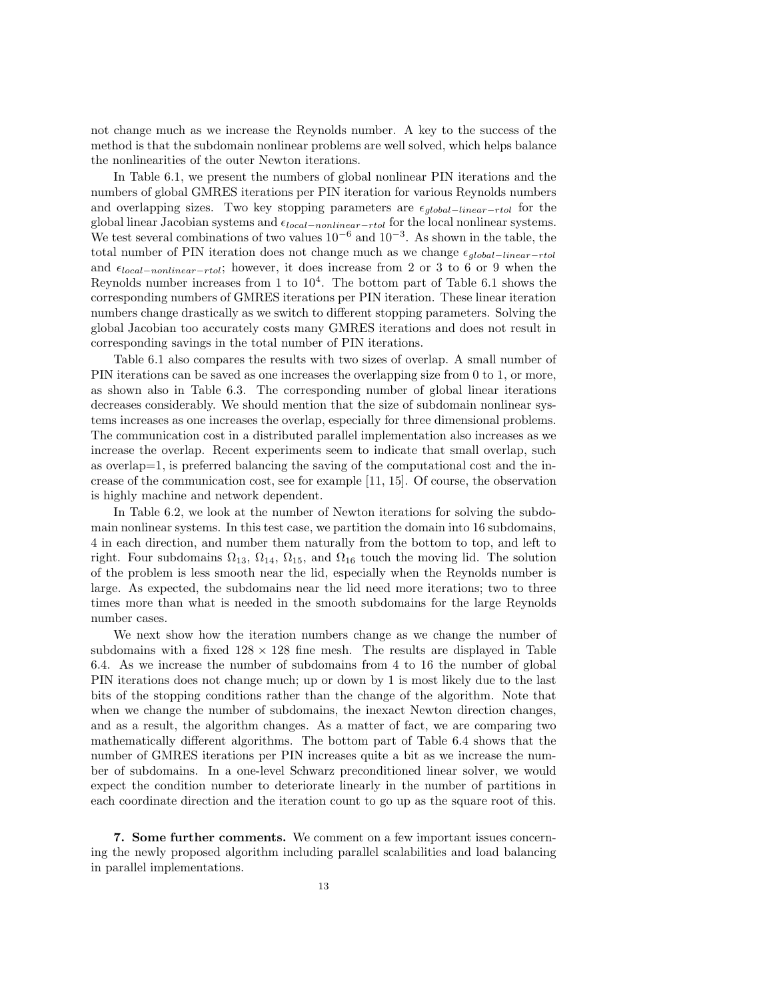not change much as we increase the Reynolds number. A key to the success of the method is that the subdomain nonlinear problems are well solved, which helps balance the nonlinearities of the outer Newton iterations.

In Table 6.1, we present the numbers of global nonlinear PIN iterations and the numbers of global GMRES iterations per PIN iteration for various Reynolds numbers and overlapping sizes. Two key stopping parameters are  $\epsilon_{global-linear-rtol}$  for the global linear Jacobian systems and  $\epsilon_{local–nonlinear-rtol}$  for the local nonlinear systems. We test several combinations of two values  $10^{-6}$  and  $10^{-3}$ . As shown in the table, the total number of PIN iteration does not change much as we change  $\epsilon_{alobal-linear-rtol}$ and  $\epsilon_{local-nonlinear-rtol}$ ; however, it does increase from 2 or 3 to 6 or 9 when the Reynolds number increases from 1 to  $10<sup>4</sup>$ . The bottom part of Table 6.1 shows the corresponding numbers of GMRES iterations per PIN iteration. These linear iteration numbers change drastically as we switch to different stopping parameters. Solving the global Jacobian too accurately costs many GMRES iterations and does not result in corresponding savings in the total number of PIN iterations.

Table 6.1 also compares the results with two sizes of overlap. A small number of PIN iterations can be saved as one increases the overlapping size from 0 to 1, or more, as shown also in Table 6.3. The corresponding number of global linear iterations decreases considerably. We should mention that the size of subdomain nonlinear systems increases as one increases the overlap, especially for three dimensional problems. The communication cost in a distributed parallel implementation also increases as we increase the overlap. Recent experiments seem to indicate that small overlap, such as overlap=1, is preferred balancing the saving of the computational cost and the increase of the communication cost, see for example [11, 15]. Of course, the observation is highly machine and network dependent.

In Table 6.2, we look at the number of Newton iterations for solving the subdomain nonlinear systems. In this test case, we partition the domain into 16 subdomains, 4 in each direction, and number them naturally from the bottom to top, and left to right. Four subdomains  $\Omega_{13}$ ,  $\Omega_{14}$ ,  $\Omega_{15}$ , and  $\Omega_{16}$  touch the moving lid. The solution of the problem is less smooth near the lid, especially when the Reynolds number is large. As expected, the subdomains near the lid need more iterations; two to three times more than what is needed in the smooth subdomains for the large Reynolds number cases.

We next show how the iteration numbers change as we change the number of subdomains with a fixed  $128 \times 128$  fine mesh. The results are displayed in Table 6.4. As we increase the number of subdomains from 4 to 16 the number of global PIN iterations does not change much; up or down by 1 is most likely due to the last bits of the stopping conditions rather than the change of the algorithm. Note that when we change the number of subdomains, the inexact Newton direction changes, and as a result, the algorithm changes. As a matter of fact, we are comparing two mathematically different algorithms. The bottom part of Table 6.4 shows that the number of GMRES iterations per PIN increases quite a bit as we increase the number of subdomains. In a one-level Schwarz preconditioned linear solver, we would expect the condition number to deteriorate linearly in the number of partitions in each coordinate direction and the iteration count to go up as the square root of this.

7. Some further comments. We comment on a few important issues concerning the newly proposed algorithm including parallel scalabilities and load balancing in parallel implementations.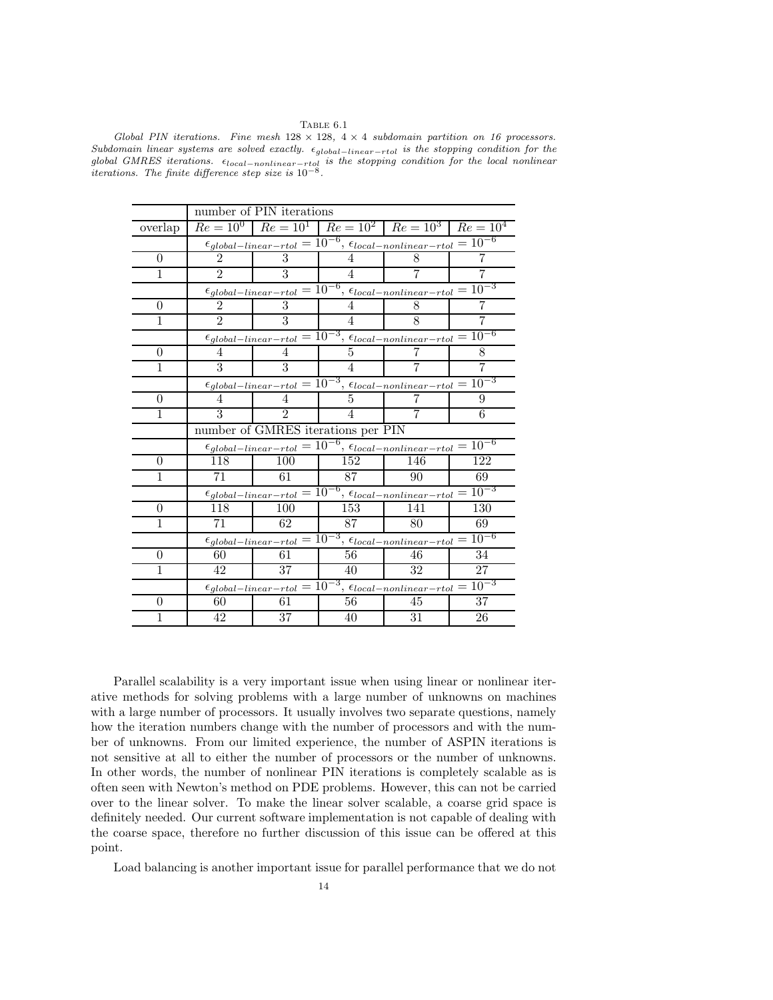Table 6.1

Global PIN iterations. Fine mesh  $128 \times 128$ ,  $4 \times 4$  subdomain partition on 16 processors. Subdomain linear systems are solved exactly.  $\epsilon_{global-linear-rtol}$  is the stopping condition for the global GMRES iterations.  $\epsilon_{local-nonlinear-trol}$  is the stopping condition for the local nonlinear iterations. The finite difference step size is  $10^{-8}$ .

|                | number of PIN iterations                                                             |                |                |                                                                                                 |     |  |  |  |
|----------------|--------------------------------------------------------------------------------------|----------------|----------------|-------------------------------------------------------------------------------------------------|-----|--|--|--|
| overlap        |                                                                                      |                |                | $Re = 10^{0}$ $Re = 10^{1}$ $Re = 10^{2}$ $Re = 10^{3}$ $Re = 10^{4}$                           |     |  |  |  |
|                | $\epsilon_{global-linear-rtol} = 10^{-6}, \epsilon_{local-nonlinear-rtol} = 10^{-6}$ |                |                |                                                                                                 |     |  |  |  |
| $\theta$       | $\mathfrak{D}$                                                                       | 3              | 4              | 8                                                                                               |     |  |  |  |
| 1              | $\mathfrak{D}$                                                                       | 3              | $\overline{4}$ | 7                                                                                               | 7   |  |  |  |
|                |                                                                                      |                |                | $\epsilon_{global-linear-rtol} = 10^{-6}, \epsilon_{local-nonlinear-rtol} = 10^{-3}$            |     |  |  |  |
| 0              | $\mathfrak{D}$                                                                       | 3              | 4              | 8                                                                                               | 7   |  |  |  |
| 1              | $\mathcal{D}_{\mathcal{L}}$                                                          | 3              | 4              | 8                                                                                               | 7   |  |  |  |
|                |                                                                                      |                |                | $\epsilon_{global-linear-rtol} = 10^{-3}, \epsilon_{local-nonlinear-rtol} = 10^{-6}$            |     |  |  |  |
| $\Omega$       | 4                                                                                    | 4              | 5              |                                                                                                 | 8   |  |  |  |
| 1              | 3                                                                                    | 3              | 4              |                                                                                                 | 7   |  |  |  |
|                |                                                                                      |                |                | $\epsilon_{global-linear-rtol} = 10^{-3}, \overline{\epsilon_{local-nonlinear-rtol}} = 10^{-3}$ |     |  |  |  |
| $\Omega$       | 4                                                                                    | 4              | 5              |                                                                                                 | 9   |  |  |  |
| 1              | 3                                                                                    | $\mathfrak{D}$ | 4              |                                                                                                 | 6   |  |  |  |
|                | number of GMRES iterations per PIN                                                   |                |                |                                                                                                 |     |  |  |  |
|                | $\epsilon_{global-linear-rtol} = 10^{-6}, \epsilon_{local-nonlinear-rtol} = 10^{-6}$ |                |                |                                                                                                 |     |  |  |  |
| $\theta$       | 118                                                                                  | 100            | 152            | 146                                                                                             | 122 |  |  |  |
| 1              | 71                                                                                   | 61             | 87             | 90                                                                                              | 69  |  |  |  |
|                |                                                                                      |                |                | $\epsilon_{global-linear-rtol} = 10^{-6}, \epsilon_{local-nonlinear-rtol} = 10^{-3}$            |     |  |  |  |
| $\overline{0}$ | 118                                                                                  | 100            | 153            | 141                                                                                             | 130 |  |  |  |
| 1              | 71                                                                                   | 62             | 87             | 80                                                                                              | 69  |  |  |  |
|                | $\epsilon_{global-linear-rtol} = 10^{-3}, \epsilon_{local-nonlinear-rtol} = 10^{-6}$ |                |                |                                                                                                 |     |  |  |  |
| 0              | 60                                                                                   | 61             | 56             | 46                                                                                              | 34  |  |  |  |
| 1              | 42                                                                                   | 37             | 40             | 32                                                                                              | 27  |  |  |  |
|                | $\epsilon_{global-linear-rtol} = 10^{-3}, \epsilon_{local-nonlinear-rtol} = 10^{-3}$ |                |                |                                                                                                 |     |  |  |  |
| 0              | 60                                                                                   | 61             | 56             | 45                                                                                              | 37  |  |  |  |
| 1              | 42                                                                                   | 37             | 40             | 31                                                                                              | 26  |  |  |  |

Parallel scalability is a very important issue when using linear or nonlinear iterative methods for solving problems with a large number of unknowns on machines with a large number of processors. It usually involves two separate questions, namely how the iteration numbers change with the number of processors and with the number of unknowns. From our limited experience, the number of ASPIN iterations is not sensitive at all to either the number of processors or the number of unknowns. In other words, the number of nonlinear PIN iterations is completely scalable as is often seen with Newton's method on PDE problems. However, this can not be carried over to the linear solver. To make the linear solver scalable, a coarse grid space is definitely needed. Our current software implementation is not capable of dealing with the coarse space, therefore no further discussion of this issue can be offered at this point.

Load balancing is another important issue for parallel performance that we do not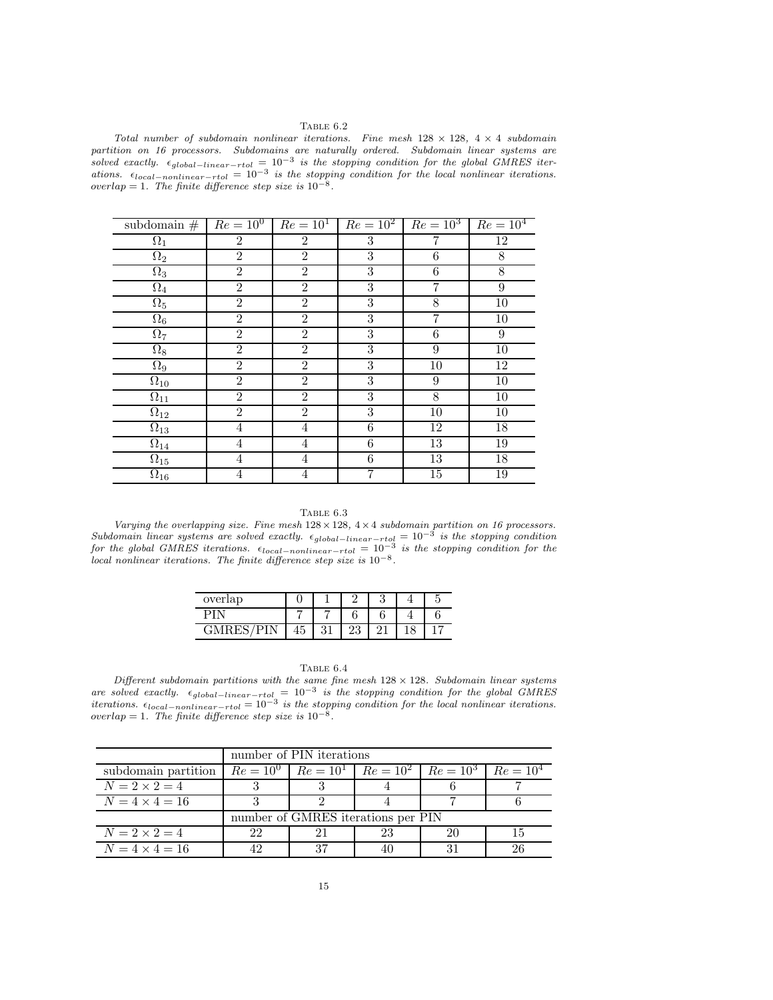## TABLE  $6.2$

Total number of subdomain nonlinear iterations. Fine mesh  $128 \times 128$ ,  $4 \times 4$  subdomain partition on 16 processors. Subdomains are naturally ordered. Subdomain linear systems are solved exactly.  $\epsilon_{global-linear-rtol} = 10^{-3}$  is the stopping condition for the global GMRES iterations.  $\epsilon_{local-nonlinear-rtol} = 10^{-3}$  is the stopping condition for the local nonlinear iterations.<br>overlap = 1. The finite difference step size is  $10^{-8}$ .

| subdomain $#$         | $Re = 10^0$      | $Re = 10^1$ $Re = 10^2$ $Re = 10^3$ |                  |                | $Re = 10^4$      |
|-----------------------|------------------|-------------------------------------|------------------|----------------|------------------|
| $\Omega_1$            | $\overline{2}$   | $\overline{2}$                      | 3                | 7              | 12               |
| $\Omega_2$            | $\overline{2}$   | $\overline{2}$                      | 3                | 6              | 8                |
| $\Omega_3$            | $\overline{2}$   | $\overline{2}$                      | 3                | 6              | 8                |
| $\Omega_4$            | $\overline{2}$   | $\overline{2}$                      | 3                | $\overline{7}$ | 9                |
| $\Omega_5$            | $\overline{2}$   | $\overline{2}$                      | 3                | 8              | 10               |
| $\Omega_6$            | $\boldsymbol{2}$ | $\overline{2}$                      | 3                | 7              | 10               |
| $\Omega_7$            | $\overline{2}$   | $\overline{2}$                      | $\boldsymbol{3}$ | 6              | $\boldsymbol{9}$ |
| $\Omega_8$            | $\overline{2}$   | $\overline{2}$                      | 3                | 9              | 10               |
| $\overline{\Omega_9}$ | $\overline{2}$   | $\overline{2}$                      | 3                | 10             | 12               |
| $\Omega_{10}$         | $\overline{2}$   | $\overline{2}$                      | 3                | 9              | $\overline{10}$  |
| $\Omega_{11}$         | $\overline{2}$   | $\overline{2}$                      | 3                | 8              | $\overline{10}$  |
| $\Omega_{12}$         | $\boldsymbol{2}$ | $\overline{2}$                      | 3                | 10             | 10               |
| $\Omega_{13}$         | $\overline{4}$   | $\,4\,$                             | 6                | 12             | 18               |
| $\Omega_{14}$         | $\overline{4}$   | $\overline{4}$                      | $\,6\,$          | 13             | 19               |
| $\Omega_{15}$         | $\overline{4}$   | $\overline{4}$                      | 6                | 13             | 18               |
| $\Omega_{16}$         | $\overline{4}$   | $\overline{4}$                      | 7                | $15\,$         | 19               |

TABLE  $6.3\,$ 

Varying the overlapping size. Fine mesh  $128 \times 128$ ,  $4 \times 4$  subdomain partition on 16 processors.<br>Subdomain linear systems are solved exactly.  $\epsilon_{global-linear-rtol} = 10^{-3}$  is the stopping condition<br>for the global GMRES iterations.  $\alpha$  local nonlinear iterations. The finite difference step size is  $10^{-8}$ .

| overlap |          |          | ິ<br>υ | ۔ |
|---------|----------|----------|--------|---|
|         |          |          |        |   |
|         | $\Omega$ | ۱η<br>∠ట |        |   |

| RГ |  |
|----|--|
|----|--|

Different subdomain partitions with the same fine mesh  $128 \times 128$ . Subdomain linear systems are solved exactly.  $\epsilon_{global-linear-rtol} = 10^{-3}$  is the stopping condition for the global GMRES iterations.  $\epsilon_{local-nonlinear-rtol} = 10^{-3}$  is the stopping condition for the local nonlinear iterations. overlap = 1. The finite difference step size is  $10^{-8}$ .

|                       | number of PIN iterations           |                                                                     |    |  |    |  |  |
|-----------------------|------------------------------------|---------------------------------------------------------------------|----|--|----|--|--|
| subdomain partition   |                                    | $Re = 10^0$   $Re = 10^1$   $Re = 10^2$   $Re = 10^3$   $Re = 10^4$ |    |  |    |  |  |
| $N=2\times 2=4$       |                                    |                                                                     |    |  |    |  |  |
| $N = 4 \times 4 = 16$ |                                    |                                                                     |    |  |    |  |  |
|                       | number of GMRES iterations per PIN |                                                                     |    |  |    |  |  |
| $N=2\times 2=4$       | 22                                 |                                                                     | 23 |  | 15 |  |  |
| $N = 4 \times 4 = 16$ |                                    |                                                                     |    |  | 26 |  |  |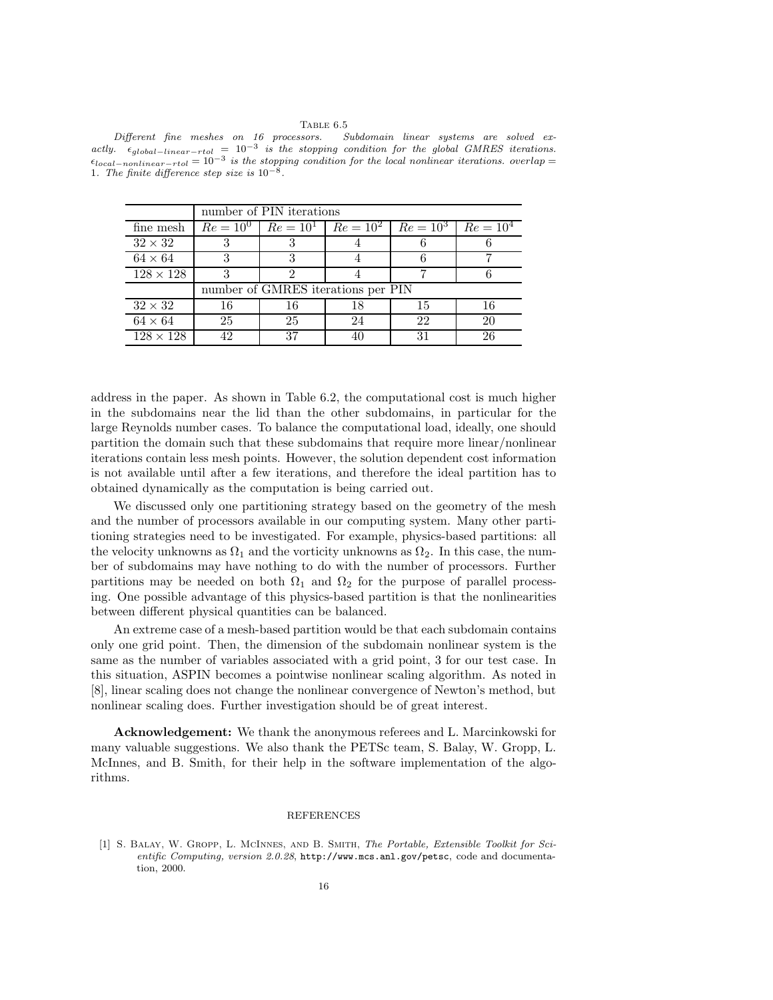TABLE 6.5<br>ssors. Subdomain linear systems are solved ex- $Different$  fine meshes on 16 processors. actly.  $\epsilon_{global-linear-rtol} = 10^{-3}$  is the stopping condition for the global GMRES iterations.  $\epsilon_{local-nonlinear-trol} = 10^{-3}$  is the stopping condition for the local nonlinear iterations. overlap = 1. The finite difference step size is  $10^{-8}$ .

|                  | number of PIN iterations           |    |    |                                                                     |    |  |  |  |
|------------------|------------------------------------|----|----|---------------------------------------------------------------------|----|--|--|--|
| fine mesh        |                                    |    |    | $Re = 10^0$   $Re = 10^1$   $Re = 10^2$   $Re = 10^3$   $Re = 10^4$ |    |  |  |  |
| $32 \times 32$   |                                    |    |    |                                                                     |    |  |  |  |
| $64 \times 64$   |                                    |    |    |                                                                     |    |  |  |  |
| $128 \times 128$ |                                    |    |    |                                                                     |    |  |  |  |
|                  | number of GMRES iterations per PIN |    |    |                                                                     |    |  |  |  |
| $32 \times 32$   | 16                                 | 16 | 18 | 15                                                                  | 16 |  |  |  |
| $64 \times 64$   | 25                                 | 25 | 24 | 22                                                                  | 20 |  |  |  |
| $128 \times 128$ |                                    | 37 |    | 31                                                                  | 26 |  |  |  |

address in the paper. As shown in Table 6.2, the computational cost is much higher in the subdomains near the lid than the other subdomains, in particular for the large Reynolds number cases. To balance the computational load, ideally, one should partition the domain such that these subdomains that require more linear/nonlinear iterations contain less mesh points. However, the solution dependent cost information is not available until after a few iterations, and therefore the ideal partition has to obtained dynamically as the computation is being carried out.

We discussed only one partitioning strategy based on the geometry of the mesh and the number of processors available in our computing system. Many other partitioning strategies need to be investigated. For example, physics-based partitions: all the velocity unknowns as  $\Omega_1$  and the vorticity unknowns as  $\Omega_2$ . In this case, the number of subdomains may have nothing to do with the number of processors. Further partitions may be needed on both  $\Omega_1$  and  $\Omega_2$  for the purpose of parallel processing. One possible advantage of this physics-based partition is that the nonlinearities between different physical quantities can be balanced.

An extreme case of a mesh-based partition would be that each subdomain contains only one grid point. Then, the dimension of the subdomain nonlinear system is the same as the number of variables associated with a grid point, 3 for our test case. In this situation, ASPIN becomes a pointwise nonlinear scaling algorithm. As noted in [8], linear scaling does not change the nonlinear convergence of Newton's method, but nonlinear scaling does. Further investigation should be of great interest.

Acknowledgement: We thank the anonymous referees and L. Marcinkowski for many valuable suggestions. We also thank the PETSc team, S. Balay, W. Gropp, L. McInnes, and B. Smith, for their help in the software implementation of the algorithms.

### REFERENCES

[1] S. Balay, W. Gropp, L. McInnes, and B. Smith, The Portable, Extensible Toolkit for Scientific Computing, version 2.0.28, http://www.mcs.anl.gov/petsc, code and documentation, 2000.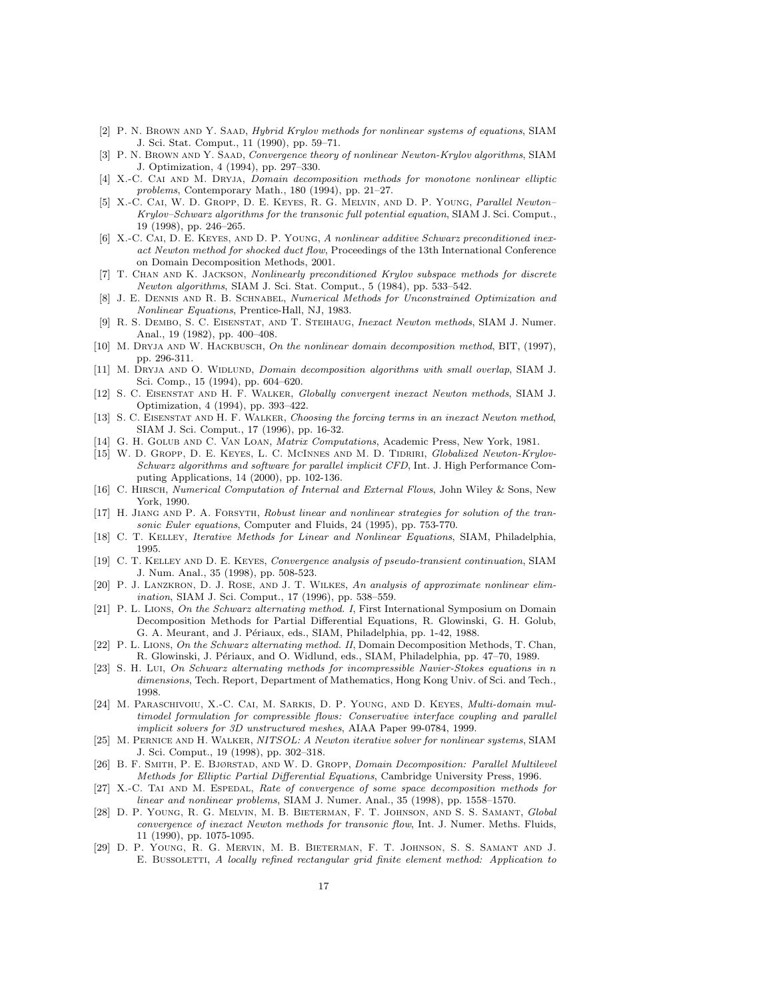- [2] P. N. Brown and Y. Saad, Hybrid Krylov methods for nonlinear systems of equations, SIAM J. Sci. Stat. Comput., 11 (1990), pp. 59–71.
- [3] P. N. Brown and Y. Saad, Convergence theory of nonlinear Newton-Krylov algorithms, SIAM J. Optimization, 4 (1994), pp. 297–330.
- [4] X.-C. Cai and M. Dryja, Domain decomposition methods for monotone nonlinear elliptic problems, Contemporary Math., 180 (1994), pp. 21–27.
- [5] X.-C. Cai, W. D. Gropp, D. E. Keyes, R. G. Melvin, and D. P. Young, Parallel Newton– Krylov–Schwarz algorithms for the transonic full potential equation, SIAM J. Sci. Comput., 19 (1998), pp. 246–265.
- [6] X.-C. Cai, D. E. Keyes, and D. P. Young, A nonlinear additive Schwarz preconditioned inexact Newton method for shocked duct flow, Proceedings of the 13th International Conference on Domain Decomposition Methods, 2001.
- [7] T. Chan and K. Jackson, Nonlinearly preconditioned Krylov subspace methods for discrete Newton algorithms, SIAM J. Sci. Stat. Comput., 5 (1984), pp. 533–542.
- [8] J. E. Dennis and R. B. Schnabel, Numerical Methods for Unconstrained Optimization and Nonlinear Equations, Prentice-Hall, NJ, 1983.
- [9] R. S. Dembo, S. C. Eisenstat, and T. Steihaug, Inexact Newton methods, SIAM J. Numer. Anal., 19 (1982), pp. 400–408.
- [10] M. DRYJA AND W. HACKBUSCH, On the nonlinear domain decomposition method, BIT, (1997), pp. 296-311.
- [11] M. DRYJA AND O. WIDLUND, *Domain decomposition algorithms with small overlap*, SIAM J. Sci. Comp., 15 (1994), pp. 604–620.
- [12] S. C. Eisenstat and H. F. Walker, Globally convergent inexact Newton methods, SIAM J. Optimization, 4 (1994), pp. 393–422.
- [13] S. C. EISENSTAT AND H. F. WALKER, Choosing the forcing terms in an inexact Newton method, SIAM J. Sci. Comput., 17 (1996), pp. 16-32.
- [14] G. H. Golub and C. Van Loan, Matrix Computations, Academic Press, New York, 1981.
- [15] W. D. GROPP, D. E. KEYES, L. C. MCINNES AND M. D. TIDRIRI, Globalized Newton-Krylov-Schwarz algorithms and software for parallel implicit CFD, Int. J. High Performance Computing Applications, 14 (2000), pp. 102-136.
- [16] C. Hirsch, Numerical Computation of Internal and External Flows, John Wiley & Sons, New York, 1990.
- [17] H. JIANG AND P. A. FORSYTH, Robust linear and nonlinear strategies for solution of the transonic Euler equations, Computer and Fluids, 24 (1995), pp. 753-770.
- [18] C. T. Kelley, Iterative Methods for Linear and Nonlinear Equations, SIAM, Philadelphia, 1995.
- [19] C. T. Kelley and D. E. Keyes, Convergence analysis of pseudo-transient continuation, SIAM J. Num. Anal., 35 (1998), pp. 508-523.
- [20] P. J. Lanzkron, D. J. Rose, and J. T. Wilkes, An analysis of approximate nonlinear elimination, SIAM J. Sci. Comput., 17 (1996), pp. 538–559.
- [21] P. L. Lions, On the Schwarz alternating method. I, First International Symposium on Domain Decomposition Methods for Partial Differential Equations, R. Glowinski, G. H. Golub, G. A. Meurant, and J. Périaux, eds., SIAM, Philadelphia, pp. 1-42, 1988.
- [22] P. L. Lions, On the Schwarz alternating method. II, Domain Decomposition Methods, T. Chan, R. Glowinski, J. Périaux, and O. Widlund, eds., SIAM, Philadelphia, pp. 47–70, 1989.
- [23] S. H. Lui, On Schwarz alternating methods for incompressible Navier-Stokes equations in n dimensions, Tech. Report, Department of Mathematics, Hong Kong Univ. of Sci. and Tech., 1998.
- [24] M. Paraschivoiu, X.-C. Cai, M. Sarkis, D. P. Young, and D. Keyes, Multi-domain multimodel formulation for compressible flows: Conservative interface coupling and parallel implicit solvers for 3D unstructured meshes, AIAA Paper 99-0784, 1999.
- [25] M. Pernice and H. Walker, NITSOL: A Newton iterative solver for nonlinear systems, SIAM J. Sci. Comput., 19 (1998), pp. 302–318.
- [26] B. F. Smith, P. E. Bjørstad, and W. D. Gropp, Domain Decomposition: Parallel Multilevel Methods for Elliptic Partial Differential Equations, Cambridge University Press, 1996.
- [27] X.-C. TAI AND M. ESPEDAL, Rate of convergence of some space decomposition methods for linear and nonlinear problems, SIAM J. Numer. Anal., 35 (1998), pp. 1558–1570.
- [28] D. P. Young, R. G. Melvin, M. B. Bieterman, F. T. Johnson, and S. S. Samant, Global convergence of inexact Newton methods for transonic flow, Int. J. Numer. Meths. Fluids, 11 (1990), pp. 1075-1095.
- [29] D. P. Young, R. G. Mervin, M. B. Bieterman, F. T. Johnson, S. S. Samant and J. E. BUSSOLETTI, A locally refined rectangular grid finite element method: Application to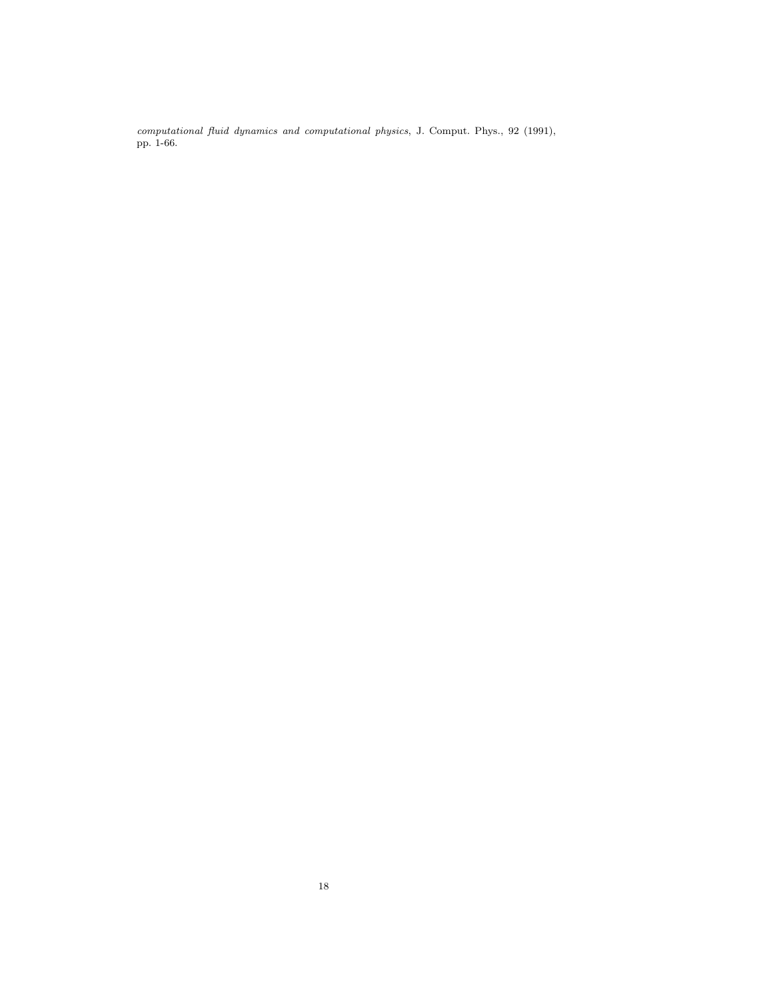computational fluid dynamics and computational physics, J. Comput. Phys., 92 (1991), pp. 1-66.